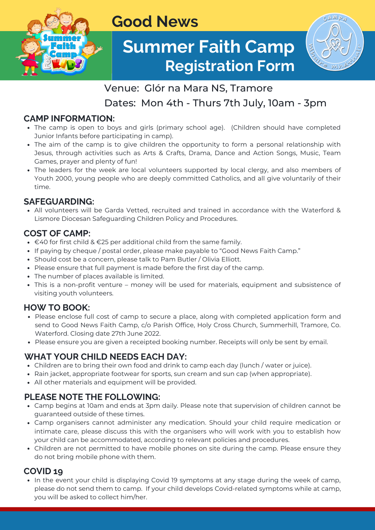

## **Good News**

# **Summer Faith Camp Registration Form**



## Venue: Glór na Mara NS, Tramore

Dates: Mon 4th - Thurs 7th July, 10am - 3pm

## **CAMP INFORMATION:**

- The camp is open to boys and girls (primary school age). (Children should have completed Junior Infants before participating in camp).
- The aim of the camp is to give children the opportunity to form a personal relationship with Jesus, through activities such as Arts & Crafts, Drama, Dance and Action Songs, Music, Team Games, prayer and plenty of fun!
- The leaders for the week are local volunteers supported by local clergy, and also members of Youth 2000, young people who are deeply committed Catholics, and all give voluntarily of their time.

## **SAFEGUARDING:**

All volunteers will be Garda Vetted, recruited and trained in accordance with the Waterford & Lismore Diocesan Safeguarding Children Policy and Procedures.

#### **COST OF CAMP:**

- $\bullet$  €40 for first child & €25 per additional child from the same family.
- If paying by cheque / postal order, please make payable to "Good News Faith Camp."
- Should cost be a concern, please talk to Pam Butler / Olivia Elliott.
- Please ensure that full payment is made before the first day of the camp.
- The number of places available is limited.
- This is a non-profit venture money will be used for materials, equipment and subsistence of visiting youth volunteers.

## **HOW TO BOOK:**

- Please enclose full cost of camp to secure a place, along with completed application form and send to Good News Faith Camp, c/o Parish Office, Holy Cross Church, Summerhill, Tramore, Co. Waterford. Closing date 27th June 2022.
- Please ensure you are given a receipted booking number. Receipts will only be sent by email.

## **WHAT YOUR CHILD NEEDS EACH DAY:**

- Children are to bring their own food and drink to camp each day (lunch / water or juice).
- Rain jacket, appropriate footwear for sports, sun cream and sun cap (when appropriate).
- All other materials and equipment will be provided.

## **PLEASE NOTE THE FOLLOWING:**

- Camp begins at 10am and ends at 3pm daily. Please note that supervision of children cannot be guaranteed outside of these times.
- Camp organisers cannot administer any medication. Should your child require medication or intimate care, please discuss this with the organisers who will work with you to establish how your child can be accommodated, according to relevant policies and procedures.
- Children are not permitted to have mobile phones on site during the camp. Please ensure they do not bring mobile phone with them.

## **COVID 19**

• In the event your child is displaying Covid 19 symptoms at any stage during the week of camp, please do not send them to camp. If your child develops Covid-related symptoms while at camp, you will be asked to collect him/her.